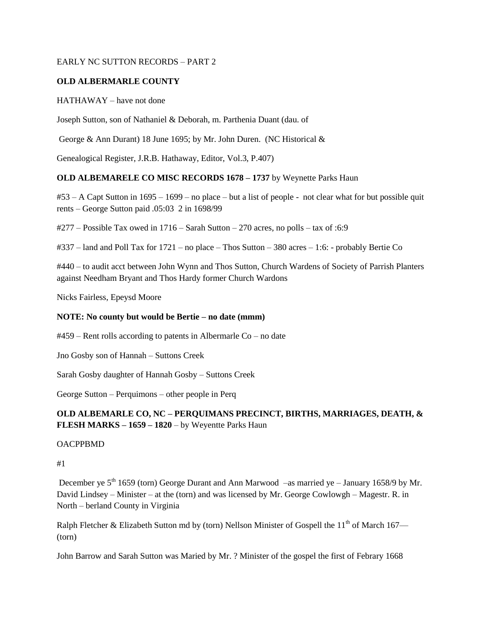### EARLY NC SUTTON RECORDS – PART 2

## **OLD ALBERMARLE COUNTY**

### HATHAWAY – have not done

Joseph Sutton, son of Nathaniel & Deborah, m. Parthenia Duant (dau. of

George & Ann Durant) 18 June 1695; by Mr. John Duren. (NC Historical &

Genealogical Register, J.R.B. Hathaway, Editor, Vol.3, P.407)

## **OLD ALBEMARELE CO MISC RECORDS 1678 – 1737** by Weynette Parks Haun

#53 – A Capt Sutton in 1695 – 1699 – no place – but a list of people - not clear what for but possible quit rents – George Sutton paid .05:03 2 in 1698/99

 $\text{\#277}$  – Possible Tax owed in 1716 – Sarah Sutton – 270 acres, no polls – tax of :6:9

#337 – land and Poll Tax for 1721 – no place – Thos Sutton – 380 acres – 1:6: - probably Bertie Co

#440 – to audit acct between John Wynn and Thos Sutton, Church Wardens of Society of Parrish Planters against Needham Bryant and Thos Hardy former Church Wardons

Nicks Fairless, Epeysd Moore

## **NOTE: No county but would be Bertie – no date (mmm)**

#459 – Rent rolls according to patents in Albermarle Co – no date

Jno Gosby son of Hannah – Suttons Creek

Sarah Gosby daughter of Hannah Gosby – Suttons Creek

George Sutton – Perquimons – other people in Perq

## **OLD ALBEMARLE CO, NC – PERQUIMANS PRECINCT, BIRTHS, MARRIAGES, DEATH, & FLESH MARKS – 1659 – 1820** – by Weyentte Parks Haun

#### **OACPPBMD**

#1

December ye  $5<sup>th</sup> 1659$  (torn) George Durant and Ann Marwood –as married ye – January 1658/9 by Mr. David Lindsey – Minister – at the (torn) and was licensed by Mr. George Cowlowgh – Magestr. R. in North – berland County in Virginia

Ralph Fletcher & Elizabeth Sutton md by (torn) Nellson Minister of Gospell the 11<sup>th</sup> of March 167— (torn)

John Barrow and Sarah Sutton was Maried by Mr. ? Minister of the gospel the first of Febrary 1668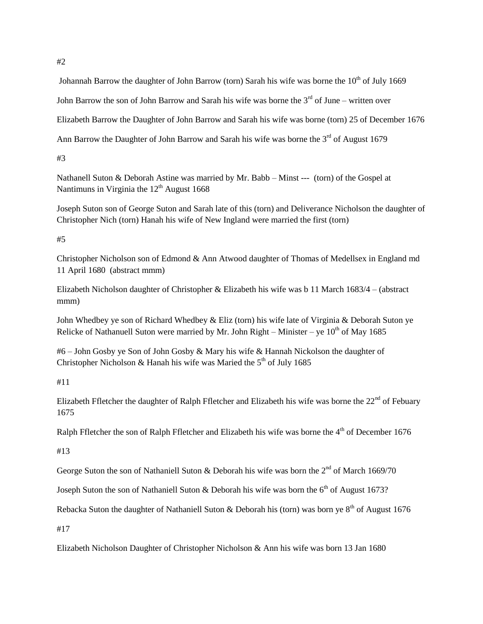Johannah Barrow the daughter of John Barrow (torn) Sarah his wife was borne the  $10<sup>th</sup>$  of July 1669

John Barrow the son of John Barrow and Sarah his wife was borne the  $3<sup>rd</sup>$  of June – written over

Elizabeth Barrow the Daughter of John Barrow and Sarah his wife was borne (torn) 25 of December 1676

Ann Barrow the Daughter of John Barrow and Sarah his wife was borne the  $3<sup>rd</sup>$  of August 1679

#3

Nathanell Suton & Deborah Astine was married by Mr. Babb – Minst --- (torn) of the Gospel at Nantimuns in Virginia the  $12<sup>th</sup>$  August 1668

Joseph Suton son of George Suton and Sarah late of this (torn) and Deliverance Nicholson the daughter of Christopher Nich (torn) Hanah his wife of New Ingland were married the first (torn)

#5

Christopher Nicholson son of Edmond & Ann Atwood daughter of Thomas of Medellsex in England md 11 April 1680 (abstract mmm)

Elizabeth Nicholson daughter of Christopher & Elizabeth his wife was b 11 March 1683/4 – (abstract mmm)

John Whedbey ye son of Richard Whedbey & Eliz (torn) his wife late of Virginia & Deborah Suton ye Relicke of Nathanuell Suton were married by Mr. John Right – Minister – ye  $10^{th}$  of May 1685

#6 – John Gosby ye Son of John Gosby & Mary his wife & Hannah Nickolson the daughter of Christopher Nicholson & Hanah his wife was Maried the  $5<sup>th</sup>$  of July 1685

#11

Elizabeth Ffletcher the daughter of Ralph Ffletcher and Elizabeth his wife was borne the  $22<sup>nd</sup>$  of Febuary 1675

Ralph Ffletcher the son of Ralph Ffletcher and Elizabeth his wife was borne the 4<sup>th</sup> of December 1676

#13

George Suton the son of Nathaniell Suton & Deborah his wife was born the  $2<sup>nd</sup>$  of March 1669/70

Joseph Suton the son of Nathaniell Suton & Deborah his wife was born the  $6<sup>th</sup>$  of August 1673?

Rebacka Suton the daughter of Nathaniell Suton & Deborah his (torn) was born ye  $8<sup>th</sup>$  of August 1676

#17

Elizabeth Nicholson Daughter of Christopher Nicholson & Ann his wife was born 13 Jan 1680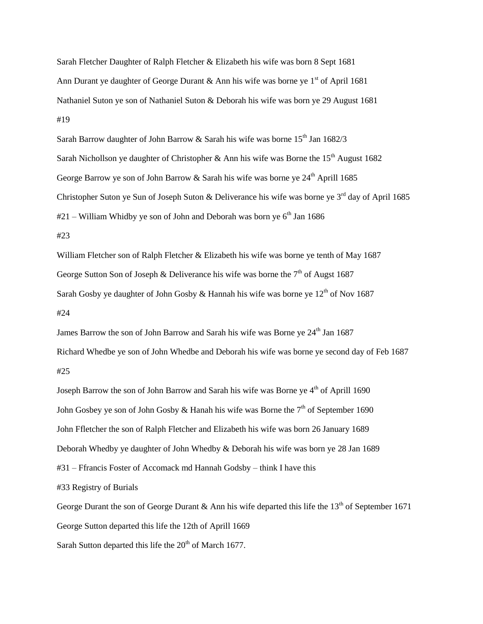Sarah Fletcher Daughter of Ralph Fletcher & Elizabeth his wife was born 8 Sept 1681 Ann Durant ye daughter of George Durant & Ann his wife was borne ye  $1<sup>st</sup>$  of April 1681 Nathaniel Suton ye son of Nathaniel Suton & Deborah his wife was born ye 29 August 1681 #19

Sarah Barrow daughter of John Barrow & Sarah his wife was borne  $15<sup>th</sup>$  Jan 1682/3 Sarah Nichollson ye daughter of Christopher & Ann his wife was Borne the  $15<sup>th</sup>$  August 1682 George Barrow ye son of John Barrow & Sarah his wife was borne ye  $24<sup>th</sup>$  Aprill 1685 Christopher Suton ye Sun of Joseph Suton & Deliverance his wife was borne ye  $3<sup>rd</sup>$  day of April 1685  $#21 -$  William Whidby ye son of John and Deborah was born ye 6<sup>th</sup> Jan 1686 #23

William Fletcher son of Ralph Fletcher & Elizabeth his wife was borne ye tenth of May 1687 George Sutton Son of Joseph & Deliverance his wife was borne the  $7<sup>th</sup>$  of Augst 1687 Sarah Gosby ye daughter of John Gosby & Hannah his wife was borne ye  $12<sup>th</sup>$  of Nov 1687 #24

James Barrow the son of John Barrow and Sarah his wife was Borne ye 24<sup>th</sup> Jan 1687 Richard Whedbe ye son of John Whedbe and Deborah his wife was borne ye second day of Feb 1687 #25

Joseph Barrow the son of John Barrow and Sarah his wife was Borne ye 4<sup>th</sup> of Aprill 1690 John Gosbey ye son of John Gosby & Hanah his wife was Borne the  $7<sup>th</sup>$  of September 1690 John Ffletcher the son of Ralph Fletcher and Elizabeth his wife was born 26 January 1689 Deborah Whedby ye daughter of John Whedby & Deborah his wife was born ye 28 Jan 1689 #31 – Ffrancis Foster of Accomack md Hannah Godsby – think I have this #33 Registry of Burials George Durant the son of George Durant  $\&$  Ann his wife departed this life the 13<sup>th</sup> of September 1671 George Sutton departed this life the 12th of Aprill 1669

Sarah Sutton departed this life the  $20<sup>th</sup>$  of March 1677.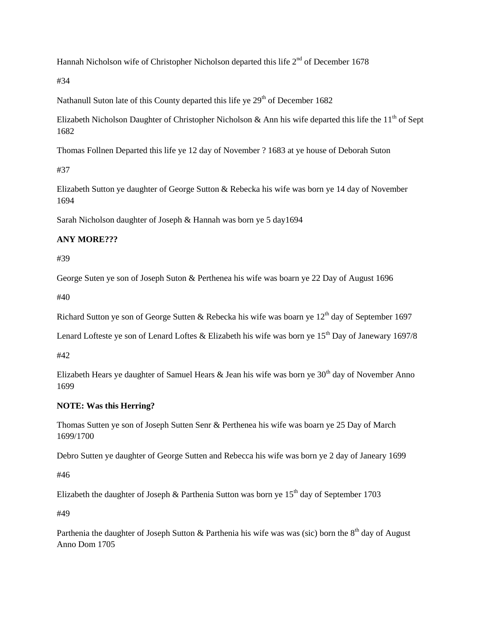Hannah Nicholson wife of Christopher Nicholson departed this life  $2<sup>nd</sup>$  of December 1678

#34

Nathanull Suton late of this County departed this life ye  $29<sup>th</sup>$  of December 1682

Elizabeth Nicholson Daughter of Christopher Nicholson & Ann his wife departed this life the  $11<sup>th</sup>$  of Sept 1682

Thomas Follnen Departed this life ye 12 day of November ? 1683 at ye house of Deborah Suton

#37

Elizabeth Sutton ye daughter of George Sutton & Rebecka his wife was born ye 14 day of November 1694

Sarah Nicholson daughter of Joseph & Hannah was born ye 5 day1694

## **ANY MORE???**

#39

George Suten ye son of Joseph Suton & Perthenea his wife was boarn ye 22 Day of August 1696

#40

Richard Sutton ye son of George Sutten & Rebecka his wife was boarn ye  $12<sup>th</sup>$  day of September 1697

Lenard Lofteste ye son of Lenard Loftes & Elizabeth his wife was born ye  $15<sup>th</sup>$  Day of Janewary 1697/8

#42

Elizabeth Hears ye daughter of Samuel Hears  $\&$  Jean his wife was born ye 30<sup>th</sup> day of November Anno 1699

## **NOTE: Was this Herring?**

Thomas Sutten ye son of Joseph Sutten Senr & Perthenea his wife was boarn ye 25 Day of March 1699/1700

Debro Sutten ye daughter of George Sutten and Rebecca his wife was born ye 2 day of Janeary 1699

#46

Elizabeth the daughter of Joseph & Parthenia Sutton was born ye  $15<sup>th</sup>$  day of September 1703

#49

Parthenia the daughter of Joseph Sutton & Parthenia his wife was was (sic) born the  $8<sup>th</sup>$  day of August Anno Dom 1705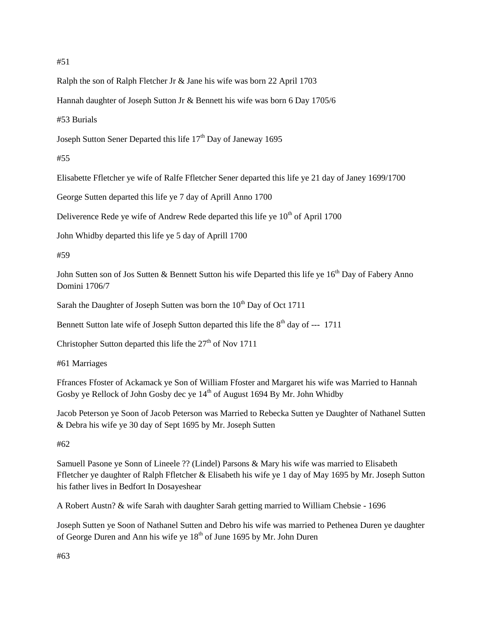#### #51

Ralph the son of Ralph Fletcher Jr & Jane his wife was born 22 April 1703

Hannah daughter of Joseph Sutton Jr & Bennett his wife was born 6 Day 1705/6

#53 Burials

Joseph Sutton Sener Departed this life 17<sup>th</sup> Day of Janeway 1695

### #55

Elisabette Ffletcher ye wife of Ralfe Ffletcher Sener departed this life ye 21 day of Janey 1699/1700

George Sutten departed this life ye 7 day of Aprill Anno 1700

Deliverence Rede ye wife of Andrew Rede departed this life ye  $10<sup>th</sup>$  of April 1700

John Whidby departed this life ye 5 day of Aprill 1700

#### #59

John Sutten son of Jos Sutten & Bennett Sutton his wife Departed this life ye 16<sup>th</sup> Day of Fabery Anno Domini 1706/7

Sarah the Daughter of Joseph Sutten was born the  $10<sup>th</sup>$  Day of Oct 1711

Bennett Sutton late wife of Joseph Sutton departed this life the  $8<sup>th</sup>$  day of --- 1711

Christopher Sutton departed this life the  $27<sup>th</sup>$  of Nov 1711

#61 Marriages

Ffrances Ffoster of Ackamack ye Son of William Ffoster and Margaret his wife was Married to Hannah Gosby ye Rellock of John Gosby dec ye 14<sup>th</sup> of August 1694 By Mr. John Whidby

Jacob Peterson ye Soon of Jacob Peterson was Married to Rebecka Sutten ye Daughter of Nathanel Sutten & Debra his wife ye 30 day of Sept 1695 by Mr. Joseph Sutten

## #62

Samuell Pasone ye Sonn of Lineele ?? (Lindel) Parsons & Mary his wife was married to Elisabeth Ffletcher ye daughter of Ralph Ffletcher & Elisabeth his wife ye 1 day of May 1695 by Mr. Joseph Sutton his father lives in Bedfort In Dosayeshear

A Robert Austn? & wife Sarah with daughter Sarah getting married to William Chebsie - 1696

Joseph Sutten ye Soon of Nathanel Sutten and Debro his wife was married to Pethenea Duren ye daughter of George Duren and Ann his wife ye 18<sup>th</sup> of June 1695 by Mr. John Duren

#63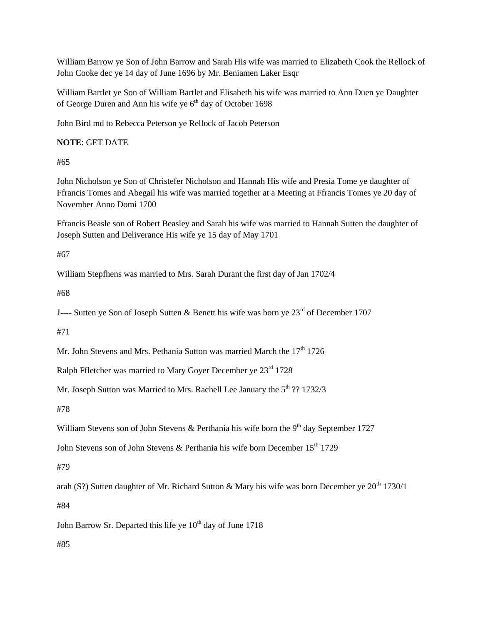William Barrow ye Son of John Barrow and Sarah His wife was married to Elizabeth Cook the Rellock of John Cooke dec ye 14 day of June 1696 by Mr. Beniamen Laker Esqr

William Bartlet ye Son of William Bartlet and Elisabeth his wife was married to Ann Duen ye Daughter of George Duren and Ann his wife ye  $6<sup>th</sup>$  day of October 1698

John Bird md to Rebecca Peterson ye Rellock of Jacob Peterson

**NOTE**: GET DATE

#65

John Nicholson ye Son of Christefer Nicholson and Hannah His wife and Presia Tome ye daughter of Ffrancis Tomes and Abegail his wife was married together at a Meeting at Ffrancis Tomes ye 20 day of November Anno Domi 1700

Ffrancis Beasle son of Robert Beasley and Sarah his wife was married to Hannah Sutten the daughter of Joseph Sutten and Deliverance His wife ye 15 day of May 1701

#67

William Stepfhens was married to Mrs. Sarah Durant the first day of Jan 1702/4

#68

J---- Sutten ye Son of Joseph Sutten & Benett his wife was born ye  $23<sup>rd</sup>$  of December 1707

#71

Mr. John Stevens and Mrs. Pethania Sutton was married March the  $17<sup>th</sup> 1726$ 

Ralph Ffletcher was married to Mary Gover December ye  $23^{\text{rd}}$  1728

Mr. Joseph Sutton was Married to Mrs. Rachell Lee January the  $5<sup>th</sup>$  ?? 1732/3

#78

William Stevens son of John Stevens & Perthania his wife born the  $9<sup>th</sup>$  day September 1727

John Stevens son of John Stevens & Perthania his wife born December  $15<sup>th</sup> 1729$ 

#79

arah (S?) Sutten daughter of Mr. Richard Sutton & Mary his wife was born December ve  $20^{th}$  1730/1

#84

John Barrow Sr. Departed this life ye  $10<sup>th</sup>$  day of June 1718

#85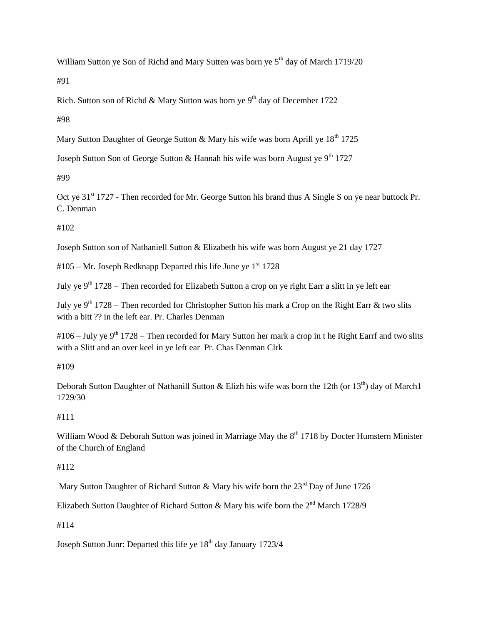William Sutton ye Son of Richd and Mary Sutten was born ye  $5<sup>th</sup>$  day of March 1719/20

#91

Rich. Sutton son of Richd & Mary Sutton was born ye  $9<sup>th</sup>$  day of December 1722

#98

Mary Sutton Daughter of George Sutton & Mary his wife was born Aprill ye  $18<sup>th</sup> 1725$ 

Joseph Sutton Son of George Sutton & Hannah his wife was born August ye  $9<sup>th</sup> 1727$ 

#99

Oct ye 31<sup>st</sup> 1727 - Then recorded for Mr. George Sutton his brand thus A Single S on ye near buttock Pr. C. Denman

#102

Joseph Sutton son of Nathaniell Sutton & Elizabeth his wife was born August ye 21 day 1727

 $#105 - Mr. Joseph Redknapp Departed this life June ye<sup>st</sup> 1728$ 

July ye 9<sup>th</sup> 1728 – Then recorded for Elizabeth Sutton a crop on ye right Earr a slitt in ye left ear

July ye  $9<sup>th</sup>$  1728 – Then recorded for Christopher Sutton his mark a Crop on the Right Earr & two slits with a bitt ?? in the left ear. Pr. Charles Denman

 $\text{\#106}-\text{July ye }9^{\text{th}}$  1728 – Then recorded for Mary Sutton her mark a crop in t he Right Earrf and two slits with a Slitt and an over keel in ye left ear Pr. Chas Denman Clrk

#109

Deborah Sutton Daughter of Nathanill Sutton & Elizh his wife was born the 12th (or 13<sup>th</sup>) day of March1 1729/30

## #111

William Wood & Deborah Sutton was joined in Marriage May the  $8<sup>th</sup> 1718$  by Docter Humstern Minister of the Church of England

## #112

Mary Sutton Daughter of Richard Sutton & Mary his wife born the  $23<sup>rd</sup>$  Day of June 1726

Elizabeth Sutton Daughter of Richard Sutton & Mary his wife born the  $2^{nd}$  March 1728/9

#114

Joseph Sutton Junr: Departed this life ye 18<sup>th</sup> day January 1723/4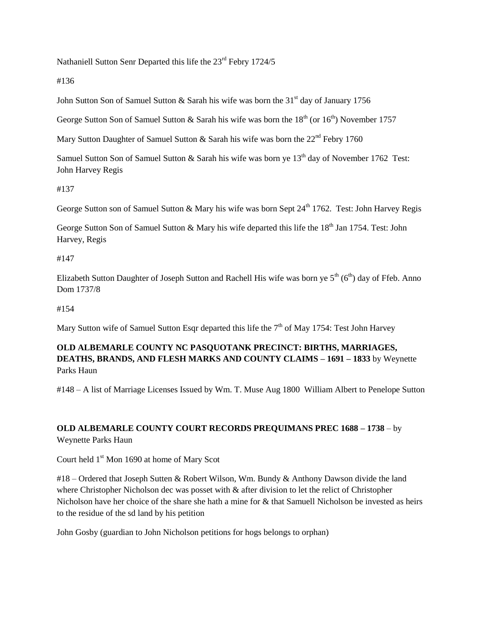Nathaniell Sutton Senr Departed this life the 23<sup>rd</sup> Febry 1724/5

#136

John Sutton Son of Samuel Sutton & Sarah his wife was born the 31<sup>st</sup> day of January 1756

George Sutton Son of Samuel Sutton & Sarah his wife was born the  $18<sup>th</sup>$  (or  $16<sup>th</sup>$ ) November 1757

Mary Sutton Daughter of Samuel Sutton  $\&$  Sarah his wife was born the 22<sup>nd</sup> Febry 1760

Samuel Sutton Son of Samuel Sutton & Sarah his wife was born ye  $13<sup>th</sup>$  day of November 1762 Test: John Harvey Regis

#137

George Sutton son of Samuel Sutton & Mary his wife was born Sept  $24<sup>th</sup>$  1762. Test: John Harvey Regis

George Sutton Son of Samuel Sutton & Mary his wife departed this life the 18<sup>th</sup> Jan 1754. Test: John Harvey, Regis

#147

Elizabeth Sutton Daughter of Joseph Sutton and Rachell His wife was born ye  $5<sup>th</sup> (6<sup>th</sup>)$  day of Ffeb. Anno Dom 1737/8

#154

Mary Sutton wife of Samuel Sutton Esqr departed this life the  $7<sup>th</sup>$  of May 1754: Test John Harvey

# **OLD ALBEMARLE COUNTY NC PASQUOTANK PRECINCT: BIRTHS, MARRIAGES, DEATHS, BRANDS, AND FLESH MARKS AND COUNTY CLAIMS – 1691 – 1833** by Weynette Parks Haun

#148 – A list of Marriage Licenses Issued by Wm. T. Muse Aug 1800 William Albert to Penelope Sutton

# **OLD ALBEMARLE COUNTY COURT RECORDS PREQUIMANS PREC 1688 – 1738** – by Weynette Parks Haun

Court held 1<sup>st</sup> Mon 1690 at home of Mary Scot

#18 – Ordered that Joseph Sutten & Robert Wilson, Wm. Bundy & Anthony Dawson divide the land where Christopher Nicholson dec was posset with & after division to let the relict of Christopher Nicholson have her choice of the share she hath a mine for & that Samuell Nicholson be invested as heirs to the residue of the sd land by his petition

John Gosby (guardian to John Nicholson petitions for hogs belongs to orphan)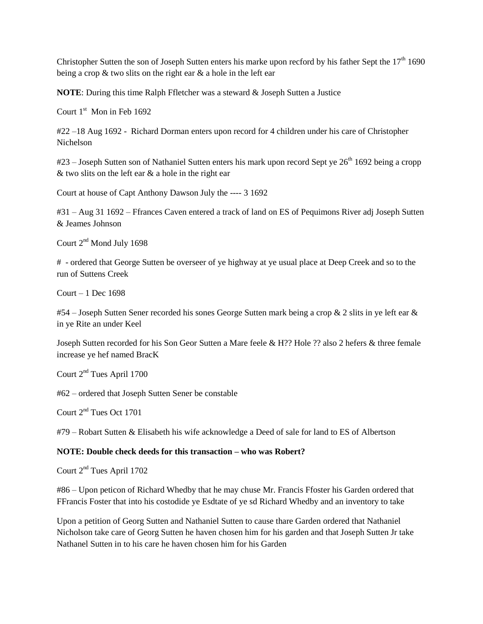Christopher Sutten the son of Joseph Sutten enters his marke upon recford by his father Sept the  $17<sup>th</sup> 1690$ being a crop & two slits on the right ear & a hole in the left ear

**NOTE**: During this time Ralph Ffletcher was a steward & Joseph Sutten a Justice

Court  $1<sup>st</sup>$  Mon in Feb 1692

#22 –18 Aug 1692 - Richard Dorman enters upon record for 4 children under his care of Christopher Nichelson

 $#23$  – Joseph Sutten son of Nathaniel Sutten enters his mark upon record Sept ye  $26<sup>th</sup> 1692$  being a cropp  $&$  two slits on the left ear  $&$  a hole in the right ear

Court at house of Capt Anthony Dawson July the ---- 3 1692

#31 – Aug 31 1692 – Ffrances Caven entered a track of land on ES of Pequimons River adj Joseph Sutten & Jeames Johnson

Court 2<sup>nd</sup> Mond July 1698

# - ordered that George Sutten be overseer of ye highway at ye usual place at Deep Creek and so to the run of Suttens Creek

Court – 1 Dec 1698

#54 – Joseph Sutten Sener recorded his sones George Sutten mark being a crop  $\&$  2 slits in ye left ear  $\&$ in ye Rite an under Keel

Joseph Sutten recorded for his Son Geor Sutten a Mare feele & H?? Hole ?? also 2 hefers & three female increase ye hef named BracK

Court  $2<sup>nd</sup>$  Tues April 1700

#62 – ordered that Joseph Sutten Sener be constable

Court  $2^{nd}$  Tues Oct 1701

#79 – Robart Sutten & Elisabeth his wife acknowledge a Deed of sale for land to ES of Albertson

#### **NOTE: Double check deeds for this transaction – who was Robert?**

Court 2<sup>nd</sup> Tues April 1702

#86 – Upon peticon of Richard Whedby that he may chuse Mr. Francis Ffoster his Garden ordered that FFrancis Foster that into his costodide ye Esdtate of ye sd Richard Whedby and an inventory to take

Upon a petition of Georg Sutten and Nathaniel Sutten to cause thare Garden ordered that Nathaniel Nicholson take care of Georg Sutten he haven chosen him for his garden and that Joseph Sutten Jr take Nathanel Sutten in to his care he haven chosen him for his Garden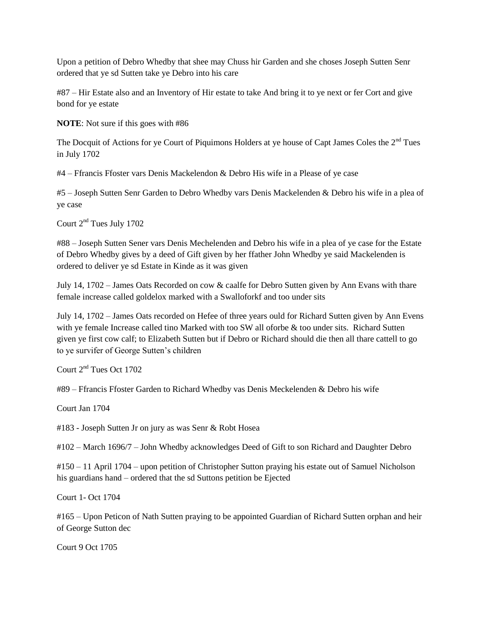Upon a petition of Debro Whedby that shee may Chuss hir Garden and she choses Joseph Sutten Senr ordered that ye sd Sutten take ye Debro into his care

#87 – Hir Estate also and an Inventory of Hir estate to take And bring it to ye next or fer Cort and give bond for ye estate

**NOTE**: Not sure if this goes with #86

The Docquit of Actions for ye Court of Piquimons Holders at ye house of Capt James Coles the  $2<sup>nd</sup>$  Tues in July 1702

#4 – Ffrancis Ffoster vars Denis Mackelendon & Debro His wife in a Please of ye case

#5 – Joseph Sutten Senr Garden to Debro Whedby vars Denis Mackelenden & Debro his wife in a plea of ye case

Court 2<sup>nd</sup> Tues July 1702

#88 – Joseph Sutten Sener vars Denis Mechelenden and Debro his wife in a plea of ye case for the Estate of Debro Whedby gives by a deed of Gift given by her ffather John Whedby ye said Mackelenden is ordered to deliver ye sd Estate in Kinde as it was given

July 14, 1702 – James Oats Recorded on cow & caalfe for Debro Sutten given by Ann Evans with thare female increase called goldelox marked with a Swalloforkf and too under sits

July 14, 1702 – James Oats recorded on Hefee of three years ould for Richard Sutten given by Ann Evens with ye female Increase called tino Marked with too SW all oforbe & too under sits. Richard Sutten given ye first cow calf; to Elizabeth Sutten but if Debro or Richard should die then all thare cattell to go to ye survifer of George Sutten's children

Court 2nd Tues Oct 1702

#89 – Ffrancis Ffoster Garden to Richard Whedby vas Denis Meckelenden & Debro his wife

Court Jan 1704

#183 - Joseph Sutten Jr on jury as was Senr & Robt Hosea

#102 – March 1696/7 – John Whedby acknowledges Deed of Gift to son Richard and Daughter Debro

#150 – 11 April 1704 – upon petition of Christopher Sutton praying his estate out of Samuel Nicholson his guardians hand – ordered that the sd Suttons petition be Ejected

Court 1- Oct 1704

#165 – Upon Peticon of Nath Sutten praying to be appointed Guardian of Richard Sutten orphan and heir of George Sutton dec

Court 9 Oct 1705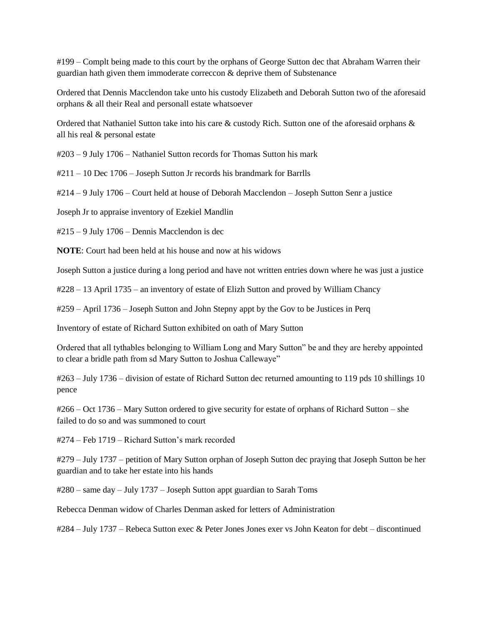#199 – Complt being made to this court by the orphans of George Sutton dec that Abraham Warren their guardian hath given them immoderate correccon & deprive them of Substenance

Ordered that Dennis Macclendon take unto his custody Elizabeth and Deborah Sutton two of the aforesaid orphans & all their Real and personall estate whatsoever

Ordered that Nathaniel Sutton take into his care & custody Rich. Sutton one of the aforesaid orphans & all his real & personal estate

#203 – 9 July 1706 – Nathaniel Sutton records for Thomas Sutton his mark

#211 – 10 Dec 1706 – Joseph Sutton Jr records his brandmark for Barrlls

#214 – 9 July 1706 – Court held at house of Deborah Macclendon – Joseph Sutton Senr a justice

Joseph Jr to appraise inventory of Ezekiel Mandlin

#215 – 9 July 1706 – Dennis Macclendon is dec

**NOTE**: Court had been held at his house and now at his widows

Joseph Sutton a justice during a long period and have not written entries down where he was just a justice

#228 – 13 April 1735 – an inventory of estate of Elizh Sutton and proved by William Chancy

#259 – April 1736 – Joseph Sutton and John Stepny appt by the Gov to be Justices in Perq

Inventory of estate of Richard Sutton exhibited on oath of Mary Sutton

Ordered that all tythables belonging to William Long and Mary Sutton" be and they are hereby appointed to clear a bridle path from sd Mary Sutton to Joshua Callewaye"

#263 – July 1736 – division of estate of Richard Sutton dec returned amounting to 119 pds 10 shillings 10 pence

#266 – Oct 1736 – Mary Sutton ordered to give security for estate of orphans of Richard Sutton – she failed to do so and was summoned to court

#274 – Feb 1719 – Richard Sutton's mark recorded

#279 – July 1737 – petition of Mary Sutton orphan of Joseph Sutton dec praying that Joseph Sutton be her guardian and to take her estate into his hands

#280 – same day – July 1737 – Joseph Sutton appt guardian to Sarah Toms

Rebecca Denman widow of Charles Denman asked for letters of Administration

#284 – July 1737 – Rebeca Sutton exec & Peter Jones Jones exer vs John Keaton for debt – discontinued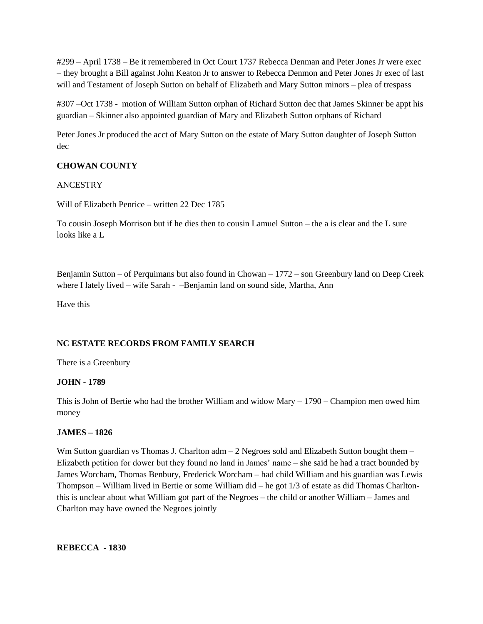#299 – April 1738 – Be it remembered in Oct Court 1737 Rebecca Denman and Peter Jones Jr were exec – they brought a Bill against John Keaton Jr to answer to Rebecca Denmon and Peter Jones Jr exec of last will and Testament of Joseph Sutton on behalf of Elizabeth and Mary Sutton minors - plea of trespass

#307 –Oct 1738 - motion of William Sutton orphan of Richard Sutton dec that James Skinner be appt his guardian – Skinner also appointed guardian of Mary and Elizabeth Sutton orphans of Richard

Peter Jones Jr produced the acct of Mary Sutton on the estate of Mary Sutton daughter of Joseph Sutton dec

### **CHOWAN COUNTY**

#### ANCESTRY

Will of Elizabeth Penrice – written 22 Dec 1785

To cousin Joseph Morrison but if he dies then to cousin Lamuel Sutton – the a is clear and the L sure looks like a L

Benjamin Sutton – of Perquimans but also found in Chowan – 1772 – son Greenbury land on Deep Creek where I lately lived – wife Sarah - –Benjamin land on sound side, Martha, Ann

Have this

#### **NC ESTATE RECORDS FROM FAMILY SEARCH**

There is a Greenbury

#### **JOHN - 1789**

This is John of Bertie who had the brother William and widow Mary – 1790 – Champion men owed him money

#### **JAMES – 1826**

Wm Sutton guardian vs Thomas J. Charlton  $adm - 2$  Negroes sold and Elizabeth Sutton bought them – Elizabeth petition for dower but they found no land in James' name – she said he had a tract bounded by James Worcham, Thomas Benbury, Frederick Worcham – had child William and his guardian was Lewis Thompson – William lived in Bertie or some William did – he got 1/3 of estate as did Thomas Charltonthis is unclear about what William got part of the Negroes – the child or another William – James and Charlton may have owned the Negroes jointly

**REBECCA - 1830**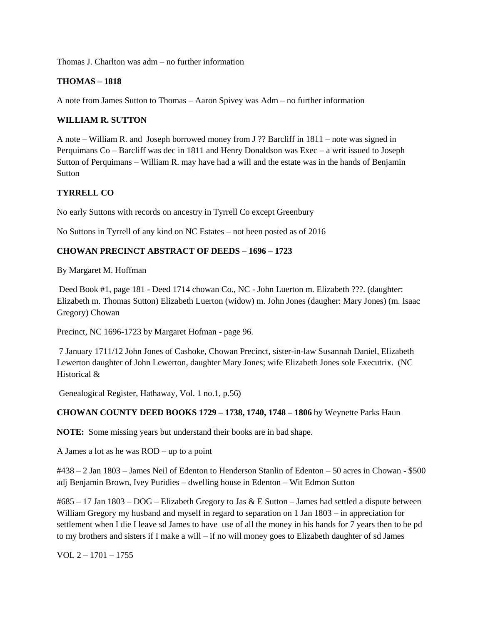Thomas J. Charlton was adm – no further information

### **THOMAS – 1818**

A note from James Sutton to Thomas – Aaron Spivey was Adm – no further information

### **WILLIAM R. SUTTON**

A note – William R. and Joseph borrowed money from J ?? Barcliff in 1811 – note was signed in Perquimans Co – Barcliff was dec in 1811 and Henry Donaldson was Exec – a writ issued to Joseph Sutton of Perquimans – William R. may have had a will and the estate was in the hands of Benjamin **Sutton** 

## **TYRRELL CO**

No early Suttons with records on ancestry in Tyrrell Co except Greenbury

No Suttons in Tyrrell of any kind on NC Estates – not been posted as of 2016

### **CHOWAN PRECINCT ABSTRACT OF DEEDS – 1696 – 1723**

By Margaret M. Hoffman

Deed Book #1, page 181 - Deed 1714 chowan Co., NC - John Luerton m. Elizabeth ???. (daughter: Elizabeth m. Thomas Sutton) Elizabeth Luerton (widow) m. John Jones (daugher: Mary Jones) (m. Isaac Gregory) Chowan

Precinct, NC 1696-1723 by Margaret Hofman - page 96.

7 January 1711/12 John Jones of Cashoke, Chowan Precinct, sister-in-law Susannah Daniel, Elizabeth Lewerton daughter of John Lewerton, daughter Mary Jones; wife Elizabeth Jones sole Executrix. (NC Historical &

Genealogical Register, Hathaway, Vol. 1 no.1, p.56)

#### **CHOWAN COUNTY DEED BOOKS 1729 – 1738, 1740, 1748 – 1806** by Weynette Parks Haun

**NOTE:** Some missing years but understand their books are in bad shape.

A James a lot as he was ROD – up to a point

#438 – 2 Jan 1803 – James Neil of Edenton to Henderson Stanlin of Edenton – 50 acres in Chowan - \$500 adj Benjamin Brown, Ivey Puridies – dwelling house in Edenton – Wit Edmon Sutton

 $\text{\#}685 - 17$  Jan 1803 – DOG – Elizabeth Gregory to Jas & E Sutton – James had settled a dispute between William Gregory my husband and myself in regard to separation on 1 Jan 1803 – in appreciation for settlement when I die I leave sd James to have use of all the money in his hands for 7 years then to be pd to my brothers and sisters if I make a will – if no will money goes to Elizabeth daughter of sd James

VOL  $2 - 1701 - 1755$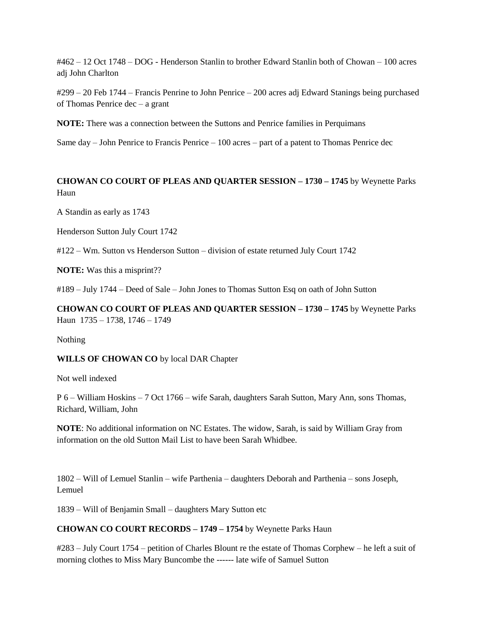#462 – 12 Oct 1748 – DOG - Henderson Stanlin to brother Edward Stanlin both of Chowan – 100 acres adj John Charlton

#299 – 20 Feb 1744 – Francis Penrine to John Penrice – 200 acres adj Edward Stanings being purchased of Thomas Penrice dec – a grant

**NOTE:** There was a connection between the Suttons and Penrice families in Perquimans

Same day – John Penrice to Francis Penrice – 100 acres – part of a patent to Thomas Penrice dec

## **CHOWAN CO COURT OF PLEAS AND QUARTER SESSION – 1730 – 1745** by Weynette Parks Haun

A Standin as early as 1743

Henderson Sutton July Court 1742

#122 – Wm. Sutton vs Henderson Sutton – division of estate returned July Court 1742

**NOTE:** Was this a misprint??

#189 – July 1744 – Deed of Sale – John Jones to Thomas Sutton Esq on oath of John Sutton

**CHOWAN CO COURT OF PLEAS AND QUARTER SESSION – 1730 – 1745** by Weynette Parks Haun 1735 – 1738, 1746 – 1749

Nothing

**WILLS OF CHOWAN CO** by local DAR Chapter

Not well indexed

P 6 – William Hoskins – 7 Oct 1766 – wife Sarah, daughters Sarah Sutton, Mary Ann, sons Thomas, Richard, William, John

**NOTE**: No additional information on NC Estates. The widow, Sarah, is said by William Gray from information on the old Sutton Mail List to have been Sarah Whidbee.

1802 – Will of Lemuel Stanlin – wife Parthenia – daughters Deborah and Parthenia – sons Joseph, Lemuel

1839 – Will of Benjamin Small – daughters Mary Sutton etc

## **CHOWAN CO COURT RECORDS – 1749 – 1754** by Weynette Parks Haun

#283 – July Court 1754 – petition of Charles Blount re the estate of Thomas Corphew – he left a suit of morning clothes to Miss Mary Buncombe the ------ late wife of Samuel Sutton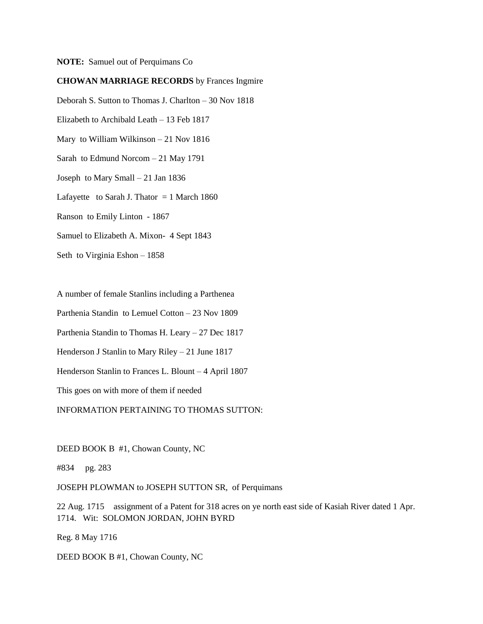**NOTE:** Samuel out of Perquimans Co

#### **CHOWAN MARRIAGE RECORDS** by Frances Ingmire

Deborah S. Sutton to Thomas J. Charlton – 30 Nov 1818 Elizabeth to Archibald Leath – 13 Feb 1817 Mary to William Wilkinson – 21 Nov 1816 Sarah to Edmund Norcom – 21 May 1791 Joseph to Mary Small – 21 Jan 1836 Lafayette to Sarah J. Thator  $= 1$  March 1860 Ranson to Emily Linton - 1867 Samuel to Elizabeth A. Mixon- 4 Sept 1843

Seth to Virginia Eshon – 1858

A number of female Stanlins including a Parthenea

Parthenia Standin to Lemuel Cotton – 23 Nov 1809

Parthenia Standin to Thomas H. Leary – 27 Dec 1817

Henderson J Stanlin to Mary Riley – 21 June 1817

Henderson Stanlin to Frances L. Blount – 4 April 1807

This goes on with more of them if needed

INFORMATION PERTAINING TO THOMAS SUTTON:

DEED BOOK B #1, Chowan County, NC

#834 pg. 283

JOSEPH PLOWMAN to JOSEPH SUTTON SR, of Perquimans

22 Aug. 1715 assignment of a Patent for 318 acres on ye north east side of Kasiah River dated 1 Apr. 1714. Wit: SOLOMON JORDAN, JOHN BYRD

Reg. 8 May 1716

DEED BOOK B #1, Chowan County, NC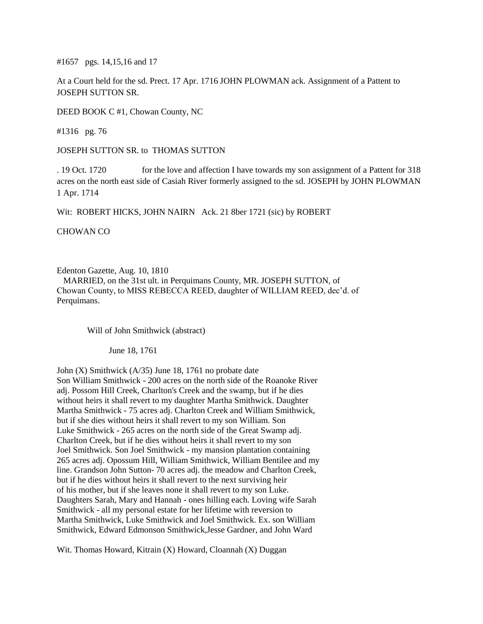#1657 pgs. 14,15,16 and 17

At a Court held for the sd. Prect. 17 Apr. 1716 JOHN PLOWMAN ack. Assignment of a Pattent to JOSEPH SUTTON SR.

DEED BOOK C #1, Chowan County, NC

#1316 pg. 76

JOSEPH SUTTON SR. to THOMAS SUTTON

. 19 Oct. 1720 for the love and affection I have towards my son assignment of a Pattent for 318 acres on the north east side of Casiah River formerly assigned to the sd. JOSEPH by JOHN PLOWMAN 1 Apr. 1714

Wit: ROBERT HICKS, JOHN NAIRN Ack. 21 8ber 1721 (sic) by ROBERT

CHOWAN CO

Edenton Gazette, Aug. 10, 1810

 MARRIED, on the 31st ult. in Perquimans County, MR. JOSEPH SUTTON, of Chowan County, to MISS REBECCA REED, daughter of WILLIAM REED, dec'd. of Perquimans.

Will of John Smithwick (abstract)

June 18, 1761

John (X) Smithwick (A/35) June 18, 1761 no probate date Son William Smithwick - 200 acres on the north side of the Roanoke River adj. Possom Hill Creek, Charlton's Creek and the swamp, but if he dies without heirs it shall revert to my daughter Martha Smithwick. Daughter Martha Smithwick - 75 acres adj. Charlton Creek and William Smithwick, but if she dies without heirs it shall revert to my son William. Son Luke Smithwick - 265 acres on the north side of the Great Swamp adj. Charlton Creek, but if he dies without heirs it shall revert to my son Joel Smithwick. Son Joel Smithwick - my mansion plantation containing 265 acres adj. Opossum Hill, William Smithwick, William Bentilee and my line. Grandson John Sutton- 70 acres adj. the meadow and Charlton Creek, but if he dies without heirs it shall revert to the next surviving heir of his mother, but if she leaves none it shall revert to my son Luke. Daughters Sarah, Mary and Hannah - ones hilling each. Loving wife Sarah Smithwick - all my personal estate for her lifetime with reversion to Martha Smithwick, Luke Smithwick and Joel Smithwick. Ex. son William Smithwick, Edward Edmonson Smithwick,Jesse Gardner, and John Ward

Wit. Thomas Howard, Kitrain (X) Howard, Cloannah (X) Duggan